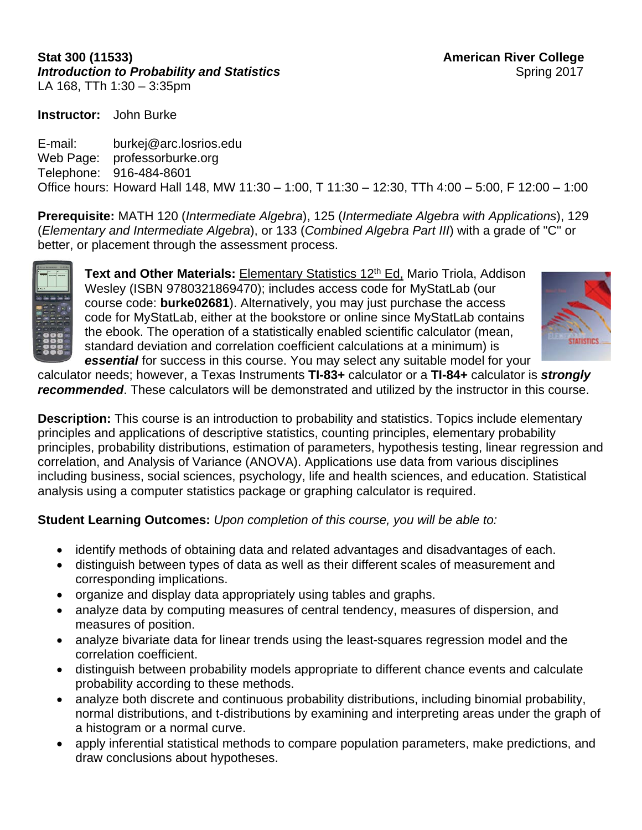### **Stat 300 (11533) American River College** *Introduction to Probability and Statistics* Spring 2017 LA 168, TTh 1:30 – 3:35pm

**Instructor:** John Burke

E-mail: burkej@arc.losrios.edu Web Page: professorburke.org Telephone: 916-484-8601 Office hours: Howard Hall 148, MW 11:30 – 1:00, T 11:30 – 12:30, TTh 4:00 – 5:00, F 12:00 – 1:00

**Prerequisite:** MATH 120 (*Intermediate Algebra*), 125 (*Intermediate Algebra with Applications*), 129 (*Elementary and Intermediate Algebra*), or 133 (*Combined Algebra Part III*) with a grade of "C" or better, or placement through the assessment process.



**Text and Other Materials:** Elementary Statistics 12<sup>th</sup> Ed, Mario Triola, Addison Wesley (ISBN 9780321869470); includes access code for MyStatLab (our course code: **burke02681**). Alternatively, you may just purchase the access code for MyStatLab, either at the bookstore or online since MyStatLab contains the ebook. The operation of a statistically enabled scientific calculator (mean, standard deviation and correlation coefficient calculations at a minimum) is *essential* for success in this course. You may select any suitable model for your



calculator needs; however, a Texas Instruments **TI-83+** calculator or a **TI-84+** calculator is *strongly recommended*. These calculators will be demonstrated and utilized by the instructor in this course.

**Description:** This course is an introduction to probability and statistics. Topics include elementary principles and applications of descriptive statistics, counting principles, elementary probability principles, probability distributions, estimation of parameters, hypothesis testing, linear regression and correlation, and Analysis of Variance (ANOVA). Applications use data from various disciplines including business, social sciences, psychology, life and health sciences, and education. Statistical analysis using a computer statistics package or graphing calculator is required.

**Student Learning Outcomes:** *Upon completion of this course, you will be able to:* 

- identify methods of obtaining data and related advantages and disadvantages of each.
- distinguish between types of data as well as their different scales of measurement and corresponding implications.
- organize and display data appropriately using tables and graphs.
- analyze data by computing measures of central tendency, measures of dispersion, and measures of position.
- analyze bivariate data for linear trends using the least-squares regression model and the correlation coefficient.
- distinguish between probability models appropriate to different chance events and calculate probability according to these methods.
- analyze both discrete and continuous probability distributions, including binomial probability, normal distributions, and t-distributions by examining and interpreting areas under the graph of a histogram or a normal curve.
- apply inferential statistical methods to compare population parameters, make predictions, and draw conclusions about hypotheses.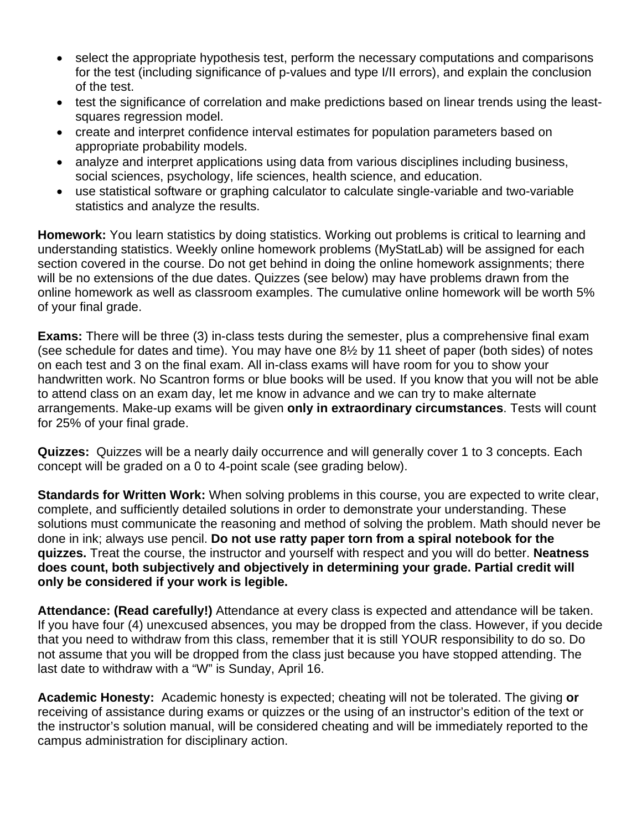- select the appropriate hypothesis test, perform the necessary computations and comparisons for the test (including significance of p-values and type I/II errors), and explain the conclusion of the test.
- test the significance of correlation and make predictions based on linear trends using the leastsquares regression model.
- create and interpret confidence interval estimates for population parameters based on appropriate probability models.
- analyze and interpret applications using data from various disciplines including business, social sciences, psychology, life sciences, health science, and education.
- use statistical software or graphing calculator to calculate single-variable and two-variable statistics and analyze the results.

**Homework:** You learn statistics by doing statistics. Working out problems is critical to learning and understanding statistics. Weekly online homework problems (MyStatLab) will be assigned for each section covered in the course. Do not get behind in doing the online homework assignments; there will be no extensions of the due dates. Quizzes (see below) may have problems drawn from the online homework as well as classroom examples. The cumulative online homework will be worth 5% of your final grade.

**Exams:** There will be three (3) in-class tests during the semester, plus a comprehensive final exam (see schedule for dates and time). You may have one 8½ by 11 sheet of paper (both sides) of notes on each test and 3 on the final exam. All in-class exams will have room for you to show your handwritten work. No Scantron forms or blue books will be used. If you know that you will not be able to attend class on an exam day, let me know in advance and we can try to make alternate arrangements. Make-up exams will be given **only in extraordinary circumstances**. Tests will count for 25% of your final grade.

**Quizzes:** Quizzes will be a nearly daily occurrence and will generally cover 1 to 3 concepts. Each concept will be graded on a 0 to 4-point scale (see grading below).

**Standards for Written Work:** When solving problems in this course, you are expected to write clear, complete, and sufficiently detailed solutions in order to demonstrate your understanding. These solutions must communicate the reasoning and method of solving the problem. Math should never be done in ink; always use pencil. **Do not use ratty paper torn from a spiral notebook for the quizzes.** Treat the course, the instructor and yourself with respect and you will do better. **Neatness does count, both subjectively and objectively in determining your grade. Partial credit will only be considered if your work is legible.** 

**Attendance: (Read carefully!)** Attendance at every class is expected and attendance will be taken. If you have four (4) unexcused absences, you may be dropped from the class. However, if you decide that you need to withdraw from this class, remember that it is still YOUR responsibility to do so. Do not assume that you will be dropped from the class just because you have stopped attending. The last date to withdraw with a "W" is Sunday, April 16.

**Academic Honesty:** Academic honesty is expected; cheating will not be tolerated. The giving **or** receiving of assistance during exams or quizzes or the using of an instructor's edition of the text or the instructor's solution manual, will be considered cheating and will be immediately reported to the campus administration for disciplinary action.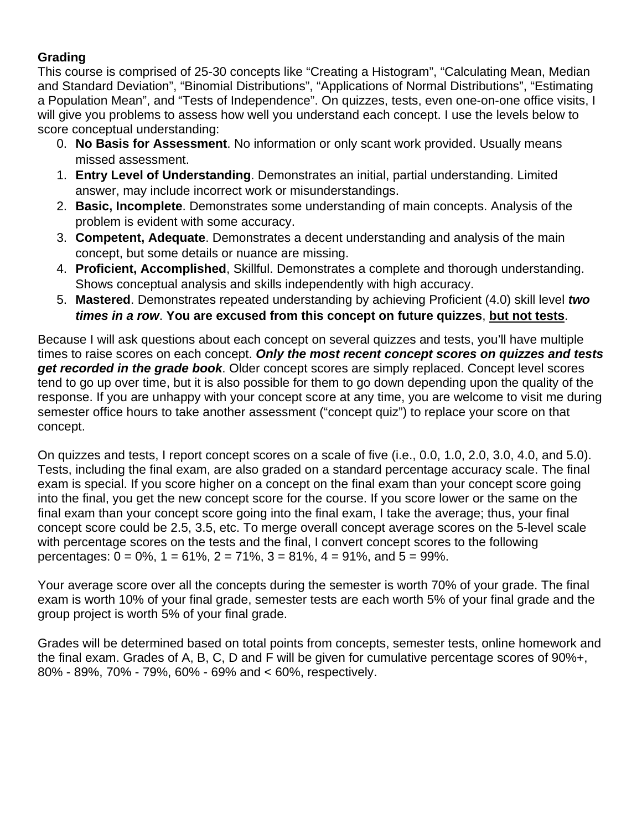### **Grading**

This course is comprised of 25-30 concepts like "Creating a Histogram", "Calculating Mean, Median and Standard Deviation", "Binomial Distributions", "Applications of Normal Distributions", "Estimating a Population Mean", and "Tests of Independence". On quizzes, tests, even one-on-one office visits, I will give you problems to assess how well you understand each concept. I use the levels below to score conceptual understanding:

- 0. **No Basis for Assessment**. No information or only scant work provided. Usually means missed assessment.
- 1. **Entry Level of Understanding**. Demonstrates an initial, partial understanding. Limited answer, may include incorrect work or misunderstandings.
- 2. **Basic, Incomplete**. Demonstrates some understanding of main concepts. Analysis of the problem is evident with some accuracy.
- 3. **Competent, Adequate**. Demonstrates a decent understanding and analysis of the main concept, but some details or nuance are missing.
- 4. **Proficient, Accomplished**, Skillful. Demonstrates a complete and thorough understanding. Shows conceptual analysis and skills independently with high accuracy.
- 5. **Mastered**. Demonstrates repeated understanding by achieving Proficient (4.0) skill level *two times in a row*. **You are excused from this concept on future quizzes**, **but not tests**.

Because I will ask questions about each concept on several quizzes and tests, you'll have multiple times to raise scores on each concept. *Only the most recent concept scores on quizzes and tests get recorded in the grade book*. Older concept scores are simply replaced. Concept level scores tend to go up over time, but it is also possible for them to go down depending upon the quality of the response. If you are unhappy with your concept score at any time, you are welcome to visit me during semester office hours to take another assessment ("concept quiz") to replace your score on that concept.

On quizzes and tests, I report concept scores on a scale of five (i.e., 0.0, 1.0, 2.0, 3.0, 4.0, and 5.0). Tests, including the final exam, are also graded on a standard percentage accuracy scale. The final exam is special. If you score higher on a concept on the final exam than your concept score going into the final, you get the new concept score for the course. If you score lower or the same on the final exam than your concept score going into the final exam, I take the average; thus, your final concept score could be 2.5, 3.5, etc. To merge overall concept average scores on the 5-level scale with percentage scores on the tests and the final, I convert concept scores to the following percentages:  $0 = 0\%$ ,  $1 = 61\%$ ,  $2 = 71\%$ ,  $3 = 81\%$ ,  $4 = 91\%$ , and  $5 = 99\%$ .

Your average score over all the concepts during the semester is worth 70% of your grade. The final exam is worth 10% of your final grade, semester tests are each worth 5% of your final grade and the group project is worth 5% of your final grade.

Grades will be determined based on total points from concepts, semester tests, online homework and the final exam. Grades of A, B, C, D and F will be given for cumulative percentage scores of 90%+, 80% - 89%, 70% - 79%, 60% - 69% and < 60%, respectively.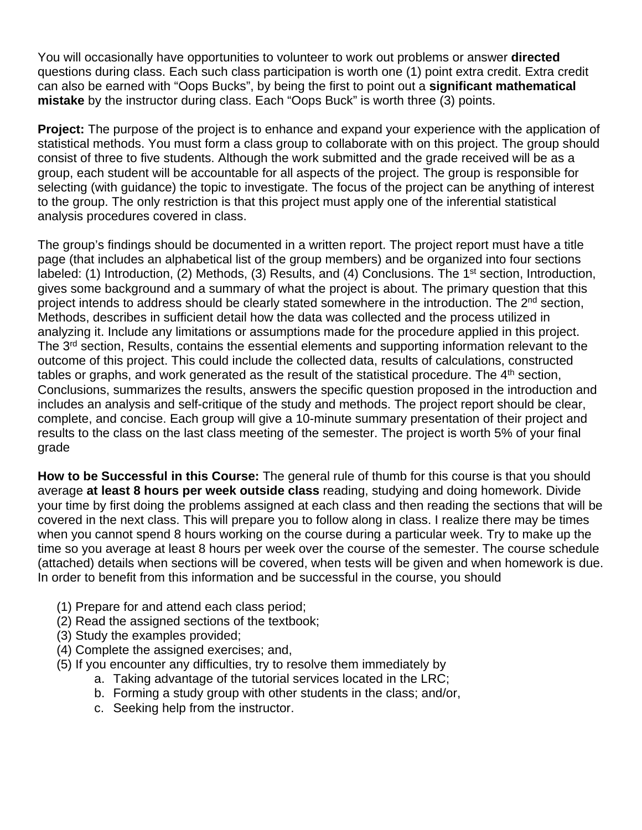You will occasionally have opportunities to volunteer to work out problems or answer **directed**  questions during class. Each such class participation is worth one (1) point extra credit. Extra credit can also be earned with "Oops Bucks", by being the first to point out a **significant mathematical mistake** by the instructor during class. Each "Oops Buck" is worth three (3) points.

**Project:** The purpose of the project is to enhance and expand your experience with the application of statistical methods. You must form a class group to collaborate with on this project. The group should consist of three to five students. Although the work submitted and the grade received will be as a group, each student will be accountable for all aspects of the project. The group is responsible for selecting (with guidance) the topic to investigate. The focus of the project can be anything of interest to the group. The only restriction is that this project must apply one of the inferential statistical analysis procedures covered in class.

The group's findings should be documented in a written report. The project report must have a title page (that includes an alphabetical list of the group members) and be organized into four sections labeled: (1) Introduction, (2) Methods, (3) Results, and (4) Conclusions. The 1<sup>st</sup> section, Introduction, gives some background and a summary of what the project is about. The primary question that this project intends to address should be clearly stated somewhere in the introduction. The 2<sup>nd</sup> section, Methods, describes in sufficient detail how the data was collected and the process utilized in analyzing it. Include any limitations or assumptions made for the procedure applied in this project. The 3<sup>rd</sup> section, Results, contains the essential elements and supporting information relevant to the outcome of this project. This could include the collected data, results of calculations, constructed tables or graphs, and work generated as the result of the statistical procedure. The 4<sup>th</sup> section, Conclusions, summarizes the results, answers the specific question proposed in the introduction and includes an analysis and self-critique of the study and methods. The project report should be clear, complete, and concise. Each group will give a 10-minute summary presentation of their project and results to the class on the last class meeting of the semester. The project is worth 5% of your final grade

**How to be Successful in this Course:** The general rule of thumb for this course is that you should average **at least 8 hours per week outside class** reading, studying and doing homework. Divide your time by first doing the problems assigned at each class and then reading the sections that will be covered in the next class. This will prepare you to follow along in class. I realize there may be times when you cannot spend 8 hours working on the course during a particular week. Try to make up the time so you average at least 8 hours per week over the course of the semester. The course schedule (attached) details when sections will be covered, when tests will be given and when homework is due. In order to benefit from this information and be successful in the course, you should

- (1) Prepare for and attend each class period;
- (2) Read the assigned sections of the textbook;
- (3) Study the examples provided;
- (4) Complete the assigned exercises; and,
- (5) If you encounter any difficulties, try to resolve them immediately by
	- a. Taking advantage of the tutorial services located in the LRC;
	- b. Forming a study group with other students in the class; and/or,
	- c. Seeking help from the instructor.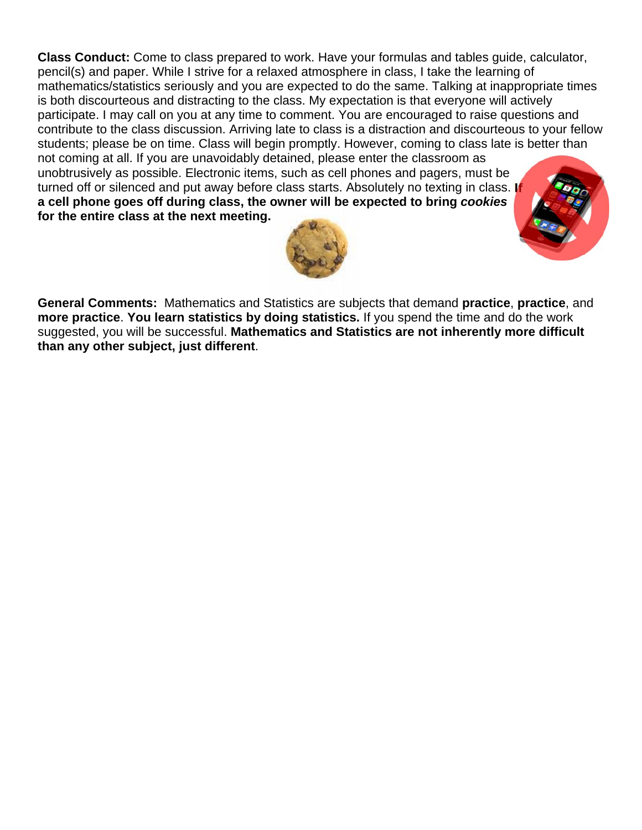**Class Conduct:** Come to class prepared to work. Have your formulas and tables guide, calculator, pencil(s) and paper. While I strive for a relaxed atmosphere in class, I take the learning of mathematics/statistics seriously and you are expected to do the same. Talking at inappropriate times is both discourteous and distracting to the class. My expectation is that everyone will actively participate. I may call on you at any time to comment. You are encouraged to raise questions and contribute to the class discussion. Arriving late to class is a distraction and discourteous to your fellow students; please be on time. Class will begin promptly. However, coming to class late is better than not coming at all. If you are unavoidably detained, please enter the classroom as unobtrusively as possible. Electronic items, such as cell phones and pagers, must be turned off or silenced and put away before class starts. Absolutely no texting in class. **If a cell phone goes off during class, the owner will be expected to bring** *cookies* **for the entire class at the next meeting.**





**General Comments:** Mathematics and Statistics are subjects that demand **practice**, **practice**, and **more practice**. **You learn statistics by doing statistics.** If you spend the time and do the work suggested, you will be successful. **Mathematics and Statistics are not inherently more difficult than any other subject, just different**.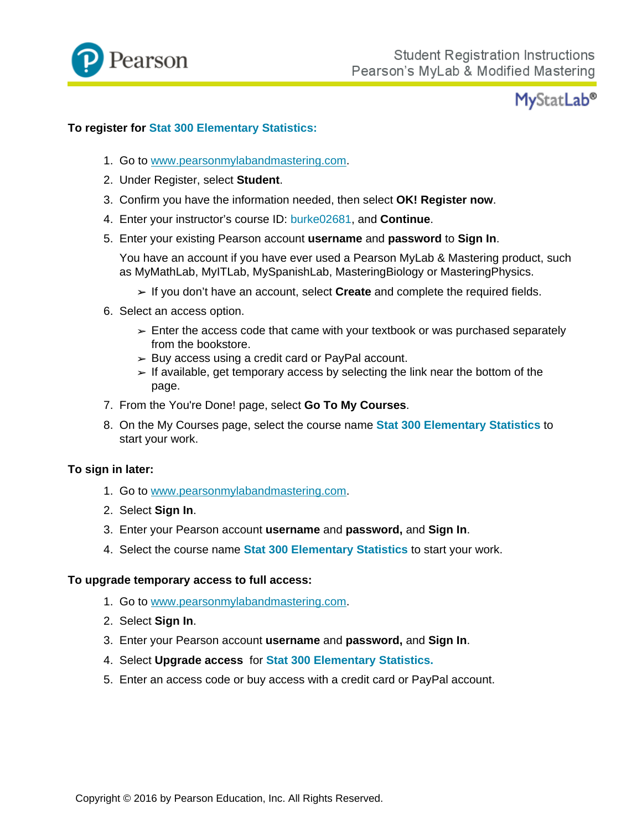

## **MyStatLab®**

#### **To register for Stat 300 Elementary Statistics:**

- 1. Go to www.pearsonmylabandmastering.com.
- 2. Under Register, select **Student**.
- 3. Confirm you have the information needed, then select **OK! Register now**.
- 4. Enter your instructor's course ID: burke02681, and **Continue**.
- 5. Enter your existing Pearson account **username** and **password** to **Sign In**.

You have an account if you have ever used a Pearson MyLab & Mastering product, such as MyMathLab, MyITLab, MySpanishLab, MasteringBiology or MasteringPhysics.

- If you don't have an account, select **Create** and complete the required fields.
- 6. Select an access option.
	- $\ge$  Enter the access code that came with your textbook or was purchased separately from the bookstore.
	- $\geq$  Buy access using a credit card or PayPal account.
	- $\geq$  If available, get temporary access by selecting the link near the bottom of the page.
- 7. From the You're Done! page, select **Go To My Courses**.
- 8. On the My Courses page, select the course name **Stat 300 Elementary Statistics** to start your work.

#### **To sign in later:**

- 1. Go to www.pearsonmylabandmastering.com.
- 2. Select **Sign In**.
- 3. Enter your Pearson account **username** and **password,** and **Sign In**.
- 4. Select the course name **Stat 300 Elementary Statistics** to start your work.

#### **To upgrade temporary access to full access:**

- 1. Go to www.pearsonmylabandmastering.com.
- 2. Select **Sign In**.
- 3. Enter your Pearson account **username** and **password,** and **Sign In**.
- 4. Select **Upgrade access** for **Stat 300 Elementary Statistics.**
- 5. Enter an access code or buy access with a credit card or PayPal account.